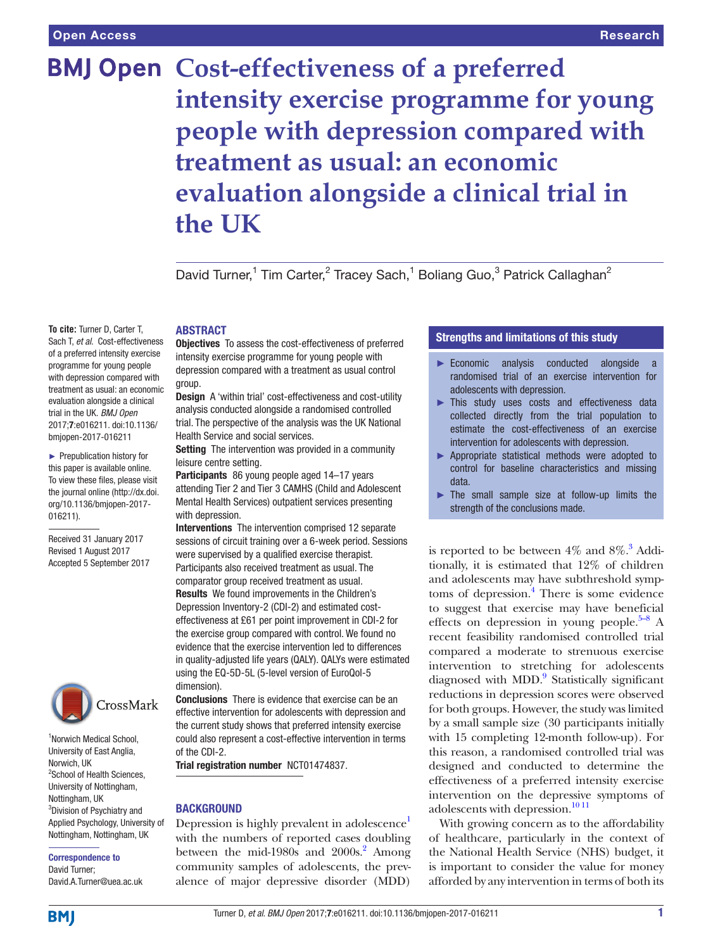# **BMJ Open Cost-effectiveness of a preferred intensity exercise programme for young people with depression compared with treatment as usual: an economic evaluation alongside a clinical trial in the UK**

David Turner,<sup>1</sup> Tim Carter,<sup>2</sup> Tracey Sach,<sup>1</sup> Boliang Guo,<sup>3</sup> Patrick Callaghan<sup>2</sup>

**To cite:** Turner D, Carter T, Sach T, *et al*. Cost-effectiveness of a preferred intensity exercise programme for young people with depression compared with treatment as usual: an economic evaluation alongside a clinical trial in the UK. *BMJ Open* 2017;7:e016211. doi:10.1136/ bmjopen-2017-016211

► Prepublication history for this paper is available online. To view these files, please visit the journal online [\(http://dx.doi.](http://dx.doi.org/10.1136/bmjopen-2017-016211) [org/10.1136/bmjopen-2017-](http://dx.doi.org/10.1136/bmjopen-2017-016211) [016211\)](http://dx.doi.org/10.1136/bmjopen-2017-016211).

Received 31 January 2017 Revised 1 August 2017 Accepted 5 September 2017



1 Norwich Medical School, University of East Anglia, Norwich, UK <sup>2</sup>School of Health Sciences, University of Nottingham, Nottingham, UK 3 Division of Psychiatry and Applied Psychology, University of Nottingham, Nottingham, UK

Correspondence to David Turner; David.A.Turner@uea.ac.uk

# **ABSTRACT**

Objectives To assess the cost-effectiveness of preferred intensity exercise programme for young people with depression compared with a treatment as usual control group.

Design A 'within trial' cost-effectiveness and cost-utility analysis conducted alongside a randomised controlled trial. The perspective of the analysis was the UK National Health Service and social services.

Setting The intervention was provided in a community leisure centre setting.

Participants 86 young people aged 14–17 years attending Tier 2 and Tier 3 CAMHS (Child and Adolescent Mental Health Services) outpatient services presenting with depression.

Interventions The intervention comprised 12 separate sessions of circuit training over a 6-week period. Sessions were supervised by a qualified exercise therapist. Participants also received treatment as usual. The comparator group received treatment as usual. Results We found improvements in the Children's Depression Inventory-2 (CDI-2) and estimated costeffectiveness at £61 per point improvement in CDI-2 for the exercise group compared with control. We found no evidence that the exercise intervention led to differences in quality-adjusted life years (QALY). QALYs were estimated using the EQ-5D-5L (5-level version of EuroQol-5 dimension).

Conclusions There is evidence that exercise can be an effective intervention for adolescents with depression and the current study shows that preferred intensity exercise could also represent a cost-effective intervention in terms of the CDI-2.

Trial registration number NCT01474837.

#### **BACKGROUND**

Depression is highly prevalent in adolescence<sup>1</sup> with the numbers of reported cases doubling between the mid-1980s and  $2000s$ .<sup>2</sup> Among community samples of adolescents, the prevalence of major depressive disorder (MDD)

# Strengths and limitations of this study

- ► Economic analysis conducted alongside a randomised trial of an exercise intervention for adolescents with depression.
- ► This study uses costs and effectiveness data collected directly from the trial population to estimate the cost-effectiveness of an exercise intervention for adolescents with depression.
- ► Appropriate statistical methods were adopted to control for baseline characteristics and missing data.
- ► The small sample size at follow-up limits the strength of the conclusions made.

is reported to be between  $4\%$  and  $8\%$ .<sup>3</sup> Additionally, it is estimated that 12% of children and adolescents may have subthreshold symp-toms of depression.<sup>[4](#page-7-3)</sup> There is some evidence to suggest that exercise may have beneficial effects on depression in young people.<sup>5–8</sup> A recent feasibility randomised controlled trial compared a moderate to strenuous exercise intervention to stretching for adolescents diagnosed with MDD.<sup>9</sup> Statistically significant reductions in depression scores were observed for both groups. However, the study was limited by a small sample size (30 participants initially with 15 completing 12-month follow-up). For this reason, a randomised controlled trial was designed and conducted to determine the effectiveness of a preferred intensity exercise intervention on the depressive symptoms of adolescents with depression.<sup>[10 11](#page-7-6)</sup>

With growing concern as to the affordability of healthcare, particularly in the context of the National Health Service (NHS) budget, it is important to consider the value for money afforded by any intervention in terms of both its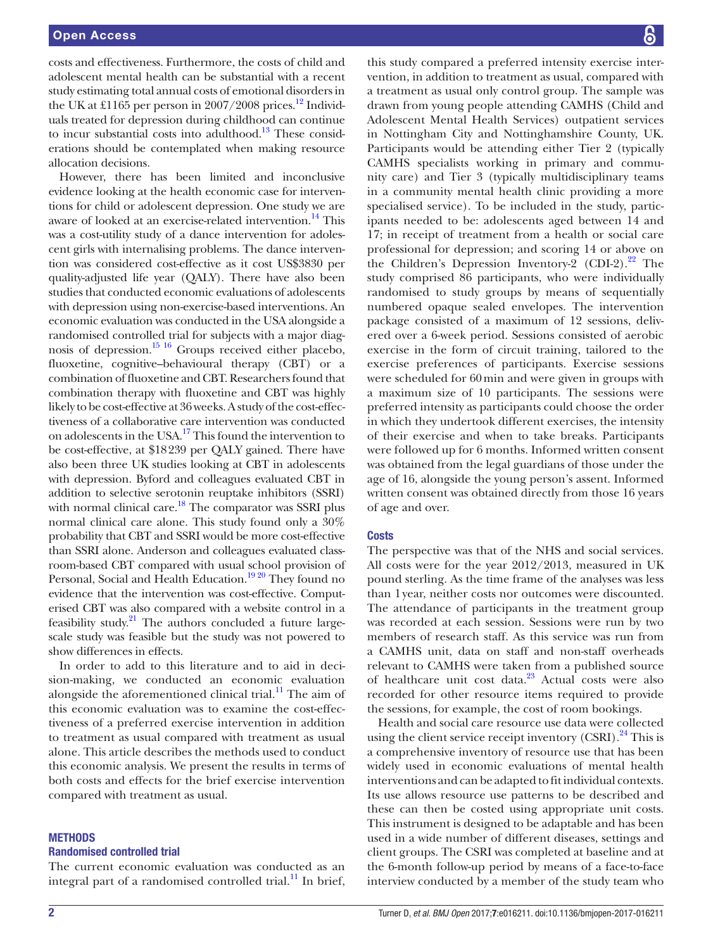costs and effectiveness. Furthermore, the costs of child and adolescent mental health can be substantial with a recent study estimating total annual costs of emotional disorders in the UK at £1165 per person in 2007/2008 prices.<sup>12</sup> Individuals treated for depression during childhood can continue to incur substantial costs into adulthood.<sup>[13](#page-7-8)</sup> These considerations should be contemplated when making resource allocation decisions.

However, there has been limited and inconclusive evidence looking at the health economic case for interventions for child or adolescent depression. One study we are aware of looked at an exercise-related intervention.<sup>14</sup> This was a cost-utility study of a dance intervention for adolescent girls with internalising problems. The dance intervention was considered cost-effective as it cost US\$3830 per quality-adjusted life year (QALY). There have also been studies that conducted economic evaluations of adolescents with depression using non-exercise-based interventions. An economic evaluation was conducted in the USA alongside a randomised controlled trial for subjects with a major diagnosis of depression.<sup>15 16</sup> Groups received either placebo, fluoxetine, cognitive–behavioural therapy (CBT) or a combination of fluoxetine and CBT. Researchers found that combination therapy with fluoxetine and CBT was highly likely to be cost-effective at 36 weeks. A study of the cost-effectiveness of a collaborative care intervention was conducted on adolescents in the USA[.17](#page-7-11) This found the intervention to be cost-effective, at \$18239 per QALY gained. There have also been three UK studies looking at CBT in adolescents with depression. Byford and colleagues evaluated CBT in addition to selective serotonin reuptake inhibitors (SSRI) with normal clinical care.<sup>18</sup> The comparator was SSRI plus normal clinical care alone. This study found only a 30% probability that CBT and SSRI would be more cost-effective than SSRI alone. Anderson and colleagues evaluated classroom-based CBT compared with usual school provision of Personal, Social and Health Education.<sup>19 20</sup> They found no evidence that the intervention was cost-effective. Computerised CBT was also compared with a website control in a feasibility study.<sup>[21](#page-7-14)</sup> The authors concluded a future largescale study was feasible but the study was not powered to show differences in effects.

In order to add to this literature and to aid in decision-making, we conducted an economic evaluation alongside the aforementioned clinical trial. $^{11}$  The aim of this economic evaluation was to examine the cost-effectiveness of a preferred exercise intervention in addition to treatment as usual compared with treatment as usual alone. This article describes the methods used to conduct this economic analysis. We present the results in terms of both costs and effects for the brief exercise intervention compared with treatment as usual.

# **METHODS**

#### Randomised controlled trial

The current economic evaluation was conducted as an integral part of a randomised controlled trial.<sup>11</sup> In brief,

this study compared a preferred intensity exercise intervention, in addition to treatment as usual, compared with a treatment as usual only control group. The sample was drawn from young people attending CAMHS (Child and Adolescent Mental Health Services) outpatient services in Nottingham City and Nottinghamshire County, UK. Participants would be attending either Tier 2 (typically CAMHS specialists working in primary and community care) and Tier 3 (typically multidisciplinary teams in a community mental health clinic providing a more specialised service). To be included in the study, participants needed to be: adolescents aged between 14 and 17; in receipt of treatment from a health or social care professional for depression; and scoring 14 or above on the Children's Depression Inventory-2  $(CDI-2)$ .<sup>[22](#page-7-16)</sup> The study comprised 86 participants, who were individually randomised to study groups by means of sequentially numbered opaque sealed envelopes. The intervention package consisted of a maximum of 12 sessions, delivered over a 6-week period. Sessions consisted of aerobic exercise in the form of circuit training, tailored to the exercise preferences of participants. Exercise sessions were scheduled for 60min and were given in groups with a maximum size of 10 participants. The sessions were preferred intensity as participants could choose the order in which they undertook different exercises, the intensity of their exercise and when to take breaks. Participants were followed up for 6 months. Informed written consent was obtained from the legal guardians of those under the age of 16, alongside the young person's assent. Informed written consent was obtained directly from those 16 years of age and over.

#### **Costs**

The perspective was that of the NHS and social services. All costs were for the year 2012/2013, measured in UK pound sterling. As the time frame of the analyses was less than 1year, neither costs nor outcomes were discounted. The attendance of participants in the treatment group was recorded at each session. Sessions were run by two members of research staff. As this service was run from a CAMHS unit, data on staff and non-staff overheads relevant to CAMHS were taken from a published source of healthcare unit cost data.<sup>23</sup> Actual costs were also recorded for other resource items required to provide the sessions, for example, the cost of room bookings.

Health and social care resource use data were collected using the client service receipt inventory  $(CSRI)^{24}$ . This is a comprehensive inventory of resource use that has been widely used in economic evaluations of mental health interventions and can be adapted to fit individual contexts. Its use allows resource use patterns to be described and these can then be costed using appropriate unit costs. This instrument is designed to be adaptable and has been used in a wide number of different diseases, settings and client groups. The CSRI was completed at baseline and at the 6-month follow-up period by means of a face-to-face interview conducted by a member of the study team who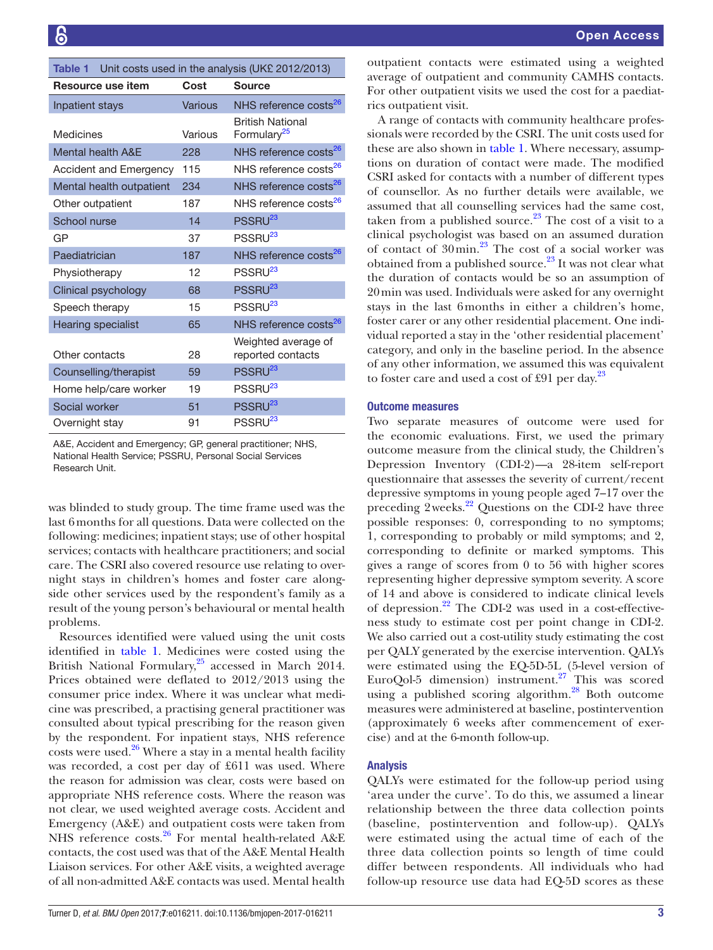<span id="page-2-0"></span>

| Unit costs used in the analysis (UK£ 2012/2013)<br>Table 1 |                |                                                    |  |  |
|------------------------------------------------------------|----------------|----------------------------------------------------|--|--|
| Resource use item<br>Cost<br><b>Source</b>                 |                |                                                    |  |  |
| Inpatient stays                                            | <b>Various</b> | NHS reference costs <sup>26</sup>                  |  |  |
| Medicines                                                  | Various        | <b>British National</b><br>Formulary <sup>25</sup> |  |  |
| <b>Mental health A&amp;E</b>                               | 228            | NHS reference costs <sup>26</sup>                  |  |  |
| Accident and Emergency                                     | 115            | NHS reference costs <sup>26</sup>                  |  |  |
| Mental health outpatient                                   | 234            | NHS reference costs <sup>26</sup>                  |  |  |
| Other outpatient                                           | 187            | NHS reference costs <sup>26</sup>                  |  |  |
| <b>School nurse</b>                                        | 14             | PSSRU <sup>23</sup>                                |  |  |
| GP                                                         | 37             | PSSRU <sup>23</sup>                                |  |  |
| Paediatrician                                              | 187            | NHS reference costs <sup>26</sup>                  |  |  |
| Physiotherapy                                              | 12             | PSSRU <sup>23</sup>                                |  |  |
| Clinical psychology                                        | 68             | PSSRU <sup>23</sup>                                |  |  |
| Speech therapy                                             | 15             | PSSRU <sup>23</sup>                                |  |  |
| <b>Hearing specialist</b>                                  | 65             | NHS reference costs <sup>26</sup>                  |  |  |
| Other contacts                                             | 28             | Weighted average of<br>reported contacts           |  |  |
| Counselling/therapist                                      | 59             | PSSRU <sup>23</sup>                                |  |  |
| Home help/care worker                                      | 19             | PSSRU <sup>23</sup>                                |  |  |
| Social worker                                              | 51             | PSSRU <sup>23</sup>                                |  |  |
| Overnight stay                                             | 91             | PSSRU <sup>23</sup>                                |  |  |

A&E, Accident and Emergency; GP, general practitioner; NHS, National Health Service; PSSRU, Personal Social Services Research Unit.

was blinded to study group. The time frame used was the last 6months for all questions. Data were collected on the following: medicines; inpatient stays; use of other hospital services; contacts with healthcare practitioners; and social care. The CSRI also covered resource use relating to overnight stays in children's homes and foster care alongside other services used by the respondent's family as a result of the young person's behavioural or mental health problems.

Resources identified were valued using the unit costs identified in [table](#page-2-0) 1. Medicines were costed using the British National Formulary,<sup>25</sup> accessed in March 2014. Prices obtained were deflated to 2012/2013 using the consumer price index. Where it was unclear what medicine was prescribed, a practising general practitioner was consulted about typical prescribing for the reason given by the respondent. For inpatient stays, NHS reference costs were used. $26$  Where a stay in a mental health facility was recorded, a cost per day of £611 was used. Where the reason for admission was clear, costs were based on appropriate NHS reference costs. Where the reason was not clear, we used weighted average costs. Accident and Emergency (A&E) and outpatient costs were taken from NHS reference costs.<sup>26</sup> For mental health-related A&E contacts, the cost used was that of the A&E Mental Health Liaison services. For other A&E visits, a weighted average of all non-admitted A&E contacts was used. Mental health

outpatient contacts were estimated using a weighted average of outpatient and community CAMHS contacts. For other outpatient visits we used the cost for a paediatrics outpatient visit.

A range of contacts with community healthcare professionals were recorded by the CSRI. The unit costs used for these are also shown in [table](#page-2-0) 1. Where necessary, assumptions on duration of contact were made. The modified CSRI asked for contacts with a number of different types of counsellor. As no further details were available, we assumed that all counselling services had the same cost, taken from a published source. $23$  The cost of a visit to a clinical psychologist was based on an assumed duration of contact of  $30$ min.<sup>23</sup> The cost of a social worker was obtained from a published source.<sup>23</sup> It was not clear what the duration of contacts would be so an assumption of 20min was used. Individuals were asked for any overnight stays in the last 6months in either a children's home, foster carer or any other residential placement. One individual reported a stay in the 'other residential placement' category, and only in the baseline period. In the absence of any other information, we assumed this was equivalent to foster care and used a cost of £91 per day. $^{23}$ 

# Outcome measures

Two separate measures of outcome were used for the economic evaluations. First, we used the primary outcome measure from the clinical study, the Children's Depression Inventory (CDI-2)—a 28-item self-report questionnaire that assesses the severity of current/recent depressive symptoms in young people aged 7–17 over the preceding  $2 \text{ weeks}^{22}$  Questions on the CDI-2 have three possible responses: 0, corresponding to no symptoms; 1, corresponding to probably or mild symptoms; and 2, corresponding to definite or marked symptoms. This gives a range of scores from 0 to 56 with higher scores representing higher depressive symptom severity. A score of 14 and above is considered to indicate clinical levels of depression.<sup>[22](#page-7-16)</sup> The CDI-2 was used in a cost-effectiveness study to estimate cost per point change in CDI-2. We also carried out a cost-utility study estimating the cost per QALY generated by the exercise intervention. QALYs were estimated using the EQ-5D-5L (5-level version of EuroQol-5 dimension) instrument.<sup>[27](#page-8-2)</sup> This was scored using a published scoring algorithm.<sup>[28](#page-8-3)</sup> Both outcome measures were administered at baseline, postintervention (approximately 6 weeks after commencement of exercise) and at the 6-month follow-up.

#### Analysis

QALYs were estimated for the follow-up period using 'area under the curve'. To do this, we assumed a linear relationship between the three data collection points (baseline, postintervention and follow-up). QALYs were estimated using the actual time of each of the three data collection points so length of time could differ between respondents. All individuals who had follow-up resource use data had EQ-5D scores as these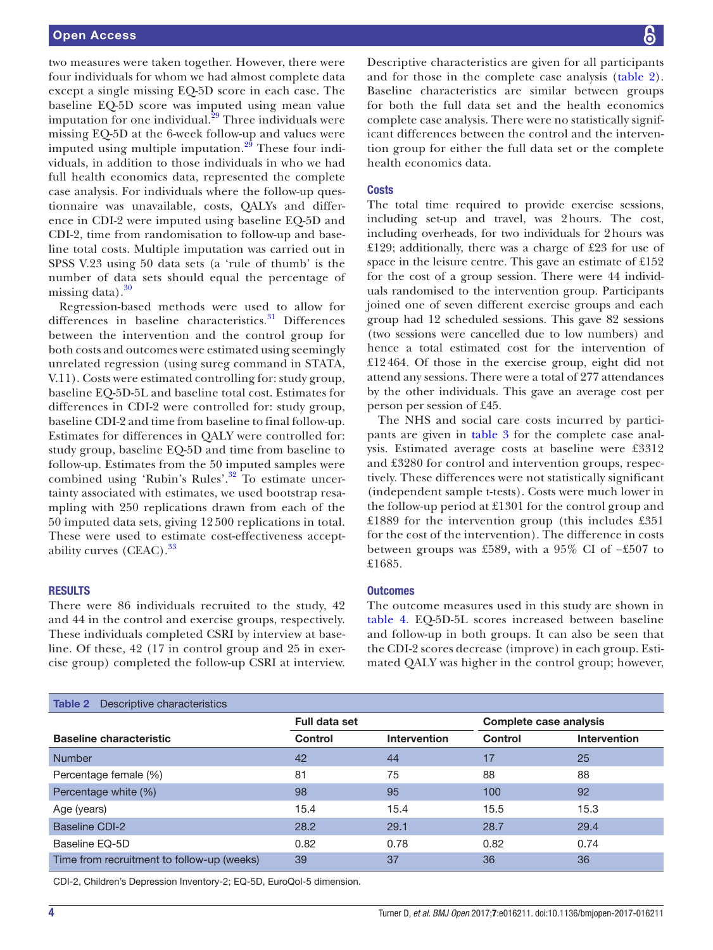two measures were taken together. However, there were four individuals for whom we had almost complete data except a single missing EQ-5D score in each case. The baseline EQ-5D score was imputed using mean value imputation for one individual.<sup>29</sup> Three individuals were missing EQ-5D at the 6-week follow-up and values were imputed using multiple imputation. $29$  These four individuals, in addition to those individuals in who we had full health economics data, represented the complete case analysis. For individuals where the follow-up questionnaire was unavailable, costs, QALYs and difference in CDI-2 were imputed using baseline EQ-5D and CDI-2, time from randomisation to follow-up and baseline total costs. Multiple imputation was carried out in SPSS V.23 using 50 data sets (a 'rule of thumb' is the number of data sets should equal the percentage of missing data). $30$ 

Regression-based methods were used to allow for differences in baseline characteristics.<sup>[31](#page-8-6)</sup> Differences between the intervention and the control group for both costs and outcomes were estimated using seemingly unrelated regression (using sureg command in STATA, V.11). Costs were estimated controlling for: study group, baseline EQ-5D-5L and baseline total cost. Estimates for differences in CDI-2 were controlled for: study group, baseline CDI-2 and time from baseline to final follow-up. Estimates for differences in QALY were controlled for: study group, baseline EQ-5D and time from baseline to follow-up. Estimates from the 50 imputed samples were combined using 'Rubin's Rules'.[32](#page-8-7) To estimate uncertainty associated with estimates, we used bootstrap resampling with 250 replications drawn from each of the 50 imputed data sets, giving 12 500 replications in total. These were used to estimate cost-effectiveness accept-ability curves (CEAC).<sup>[33](#page-8-8)</sup>

#### **RESULTS**

There were 86 individuals recruited to the study, 42 and 44 in the control and exercise groups, respectively. These individuals completed CSRI by interview at baseline. Of these, 42 (17 in control group and 25 in exercise group) completed the follow-up CSRI at interview. Descriptive characteristics are given for all participants and for those in the complete case analysis ([table](#page-3-0) 2). Baseline characteristics are similar between groups for both the full data set and the health economics complete case analysis. There were no statistically significant differences between the control and the intervention group for either the full data set or the complete health economics data.

#### **Costs**

The total time required to provide exercise sessions, including set-up and travel, was 2hours. The cost, including overheads, for two individuals for 2hours was £129; additionally, there was a charge of £23 for use of space in the leisure centre. This gave an estimate of £152 for the cost of a group session. There were 44 individuals randomised to the intervention group. Participants joined one of seven different exercise groups and each group had 12 scheduled sessions. This gave 82 sessions (two sessions were cancelled due to low numbers) and hence a total estimated cost for the intervention of £12464. Of those in the exercise group, eight did not attend any sessions. There were a total of 277 attendances by the other individuals. This gave an average cost per person per session of £45.

The NHS and social care costs incurred by participants are given in [table](#page-4-0) 3 for the complete case analysis. Estimated average costs at baseline were £3312 and £3280 for control and intervention groups, respectively. These differences were not statistically significant (independent sample t-tests). Costs were much lower in the follow-up period at £1301 for the control group and £1889 for the intervention group (this includes £351 for the cost of the intervention). The difference in costs between groups was £589, with a 95% CI of −£507 to £1685.

#### **Outcomes**

The outcome measures used in this study are shown in [table](#page-5-0) 4. EQ-5D-5L scores increased between baseline and follow-up in both groups. It can also be seen that the CDI-2 scores decrease (improve) in each group. Estimated QALY was higher in the control group; however,

<span id="page-3-0"></span>

| Descriptive characteristics<br>Table 2     |                |                     |                        |                     |  |
|--------------------------------------------|----------------|---------------------|------------------------|---------------------|--|
|                                            | Full data set  |                     | Complete case analysis |                     |  |
| <b>Baseline characteristic</b>             | <b>Control</b> | <b>Intervention</b> | Control                | <b>Intervention</b> |  |
| Number                                     | 42             | 44                  | 17                     | 25                  |  |
| Percentage female (%)                      | 81             | 75                  | 88                     | 88                  |  |
| Percentage white (%)                       | 98             | 95                  | 100                    | 92                  |  |
| Age (years)                                | 15.4           | 15.4                | 15.5                   | 15.3                |  |
| <b>Baseline CDI-2</b>                      | 28.2           | 29.1                | 28.7                   | 29.4                |  |
| Baseline EQ-5D                             | 0.82           | 0.78                | 0.82                   | 0.74                |  |
| Time from recruitment to follow-up (weeks) | 39             | 37                  | 36                     | 36                  |  |

CDI-2, Children's Depression Inventory-2; EQ-5D, EuroQol-5 dimension.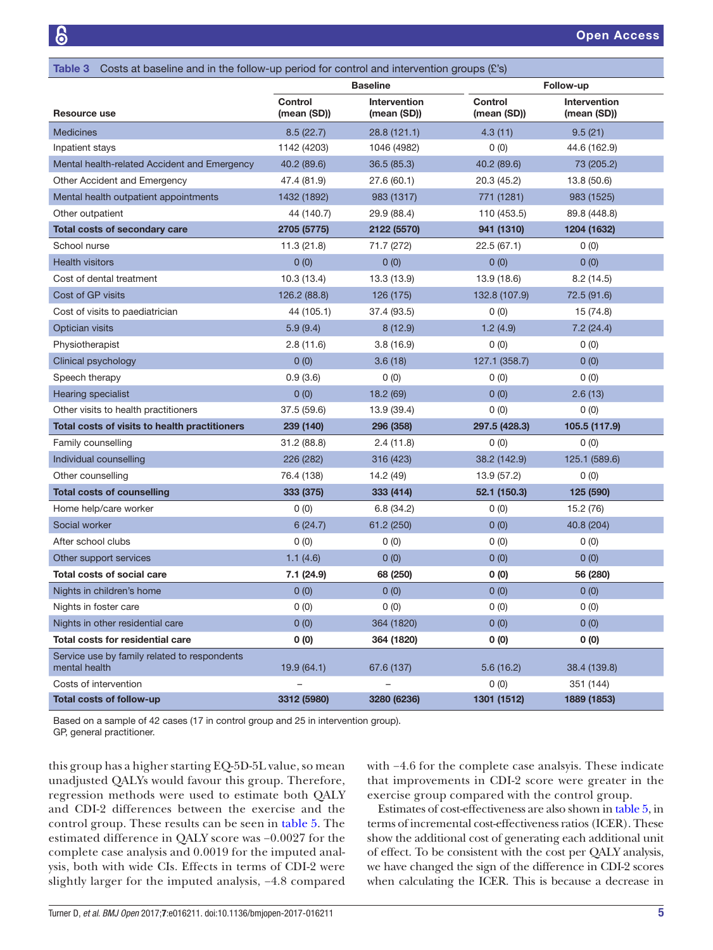<span id="page-4-0"></span>

| Costs at baseline and in the follow-up period for control and intervention groups $(E's)$<br>Table 3 |                               |                                    |                               |                             |  |
|------------------------------------------------------------------------------------------------------|-------------------------------|------------------------------------|-------------------------------|-----------------------------|--|
|                                                                                                      | <b>Baseline</b>               |                                    |                               | Follow-up                   |  |
| Resource use                                                                                         | <b>Control</b><br>(mean (SD)) | <b>Intervention</b><br>(mean (SD)) | <b>Control</b><br>(mean (SD)) | Intervention<br>(mean (SD)) |  |
| <b>Medicines</b>                                                                                     | 8.5(22.7)                     | 28.8 (121.1)                       | 4.3(11)                       | 9.5(21)                     |  |
| Inpatient stays                                                                                      | 1142 (4203)                   | 1046 (4982)                        | 0(0)                          | 44.6 (162.9)                |  |
| Mental health-related Accident and Emergency                                                         | 40.2 (89.6)                   | 36.5(85.3)                         | 40.2 (89.6)                   | 73 (205.2)                  |  |
| Other Accident and Emergency                                                                         | 47.4 (81.9)                   | 27.6 (60.1)                        | 20.3 (45.2)                   | 13.8(50.6)                  |  |
| Mental health outpatient appointments                                                                | 1432 (1892)                   | 983 (1317)                         | 771 (1281)                    | 983 (1525)                  |  |
| Other outpatient                                                                                     | 44 (140.7)                    | 110 (453.5)<br>29.9 (88.4)         |                               | 89.8 (448.8)                |  |
| <b>Total costs of secondary care</b>                                                                 | 2705 (5775)                   | 2122 (5570)                        | 941 (1310)                    | 1204 (1632)                 |  |
| School nurse                                                                                         | 11.3(21.8)                    | 71.7 (272)                         | 22.5(67.1)                    | 0(0)                        |  |
| <b>Health visitors</b>                                                                               | 0(0)                          | 0(0)                               | 0(0)                          | 0(0)                        |  |
| Cost of dental treatment                                                                             | 10.3(13.4)                    | 13.3 (13.9)                        | 13.9 (18.6)                   | 8.2(14.5)                   |  |
| Cost of GP visits                                                                                    | 126.2 (88.8)                  | 126 (175)                          | 132.8 (107.9)                 | 72.5 (91.6)                 |  |
| Cost of visits to paediatrician                                                                      | 44 (105.1)                    | 37.4 (93.5)                        | 0(0)                          | 15 (74.8)                   |  |
| Optician visits                                                                                      | 5.9(9.4)                      | 8(12.9)                            | 1.2(4.9)                      | 7.2(24.4)                   |  |
| Physiotherapist                                                                                      | 2.8(11.6)                     | 3.8(16.9)                          | 0(0)                          | 0(0)                        |  |
| Clinical psychology                                                                                  | 0(0)                          | 3.6(18)                            | 127.1 (358.7)                 | 0(0)                        |  |
| Speech therapy                                                                                       | 0.9(3.6)                      | 0(0)                               | 0(0)                          | 0(0)                        |  |
| <b>Hearing specialist</b>                                                                            | 0(0)                          | 18.2 (69)                          | 0(0)                          | 2.6(13)                     |  |
| Other visits to health practitioners                                                                 | 37.5 (59.6)                   | 13.9 (39.4)                        | 0(0)                          | 0(0)                        |  |
| Total costs of visits to health practitioners                                                        | 239 (140)                     | 296 (358)                          | 297.5 (428.3)                 | 105.5 (117.9)               |  |
| Family counselling                                                                                   | 31.2 (88.8)                   | 2.4(11.8)                          | 0(0)                          | 0(0)                        |  |
| Individual counselling                                                                               | 226 (282)                     | 316 (423)                          | 38.2 (142.9)                  | 125.1 (589.6)               |  |
| Other counselling                                                                                    | 76.4 (138)                    | 14.2 (49)                          | 13.9 (57.2)                   | 0(0)                        |  |
| <b>Total costs of counselling</b>                                                                    | 333 (375)                     | 333 (414)                          | 52.1 (150.3)                  | 125 (590)                   |  |
| Home help/care worker                                                                                | 0(0)                          | 6.8(34.2)                          | 0(0)                          | 15.2 (76)                   |  |
| Social worker                                                                                        | 6(24.7)                       | 61.2 (250)                         | 0(0)                          | 40.8 (204)                  |  |
| After school clubs                                                                                   | 0(0)                          | 0(0)                               | 0(0)                          | 0(0)                        |  |
| Other support services                                                                               | 1.1(4.6)                      | 0(0)                               | 0(0)                          | 0(0)                        |  |
| <b>Total costs of social care</b>                                                                    | 7.1 (24.9)                    | 68 (250)                           | 0(0)                          | 56 (280)                    |  |
| Nights in children's home                                                                            | 0(0)                          | 0(0)                               | 0(0)                          | 0(0)                        |  |
| Nights in foster care                                                                                | 0(0)                          | 0(0)                               | 0(0)                          | 0(0)                        |  |
| Nights in other residential care                                                                     | 0(0)                          | 364 (1820)                         | 0(0)                          | 0(0)                        |  |
| Total costs for residential care                                                                     | 0(0)                          | 364 (1820)                         | 0(0)                          | 0(0)                        |  |
| Service use by family related to respondents<br>mental health                                        | 19.9(64.1)                    | 67.6 (137)                         | 5.6(16.2)                     | 38.4 (139.8)                |  |
| Costs of intervention                                                                                |                               |                                    | 0(0)                          | 351 (144)                   |  |
| Total costs of follow-up                                                                             | 3312 (5980)                   | 3280 (6236)                        | 1301 (1512)                   | 1889 (1853)                 |  |

Based on a sample of 42 cases (17 in control group and 25 in intervention group). GP, general practitioner.

this group has a higher starting EQ-5D-5L value, so mean unadjusted QALYs would favour this group. Therefore, regression methods were used to estimate both QALY and CDI-2 differences between the exercise and the control group. These results can be seen in [table](#page-5-1) 5. The estimated difference in QALY score was −0.0027 for the complete case analysis and 0.0019 for the imputed analysis, both with wide CIs. Effects in terms of CDI-2 were slightly larger for the imputed analysis, −4.8 compared

with −4.6 for the complete case analsyis. These indicate that improvements in CDI-2 score were greater in the exercise group compared with the control group.

Estimates of cost-effectiveness are also shown in [table](#page-5-1) 5, in terms of incremental cost-effectiveness ratios (ICER). These show the additional cost of generating each additional unit of effect. To be consistent with the cost per QALY analysis, we have changed the sign of the difference in CDI-2 scores when calculating the ICER. This is because a decrease in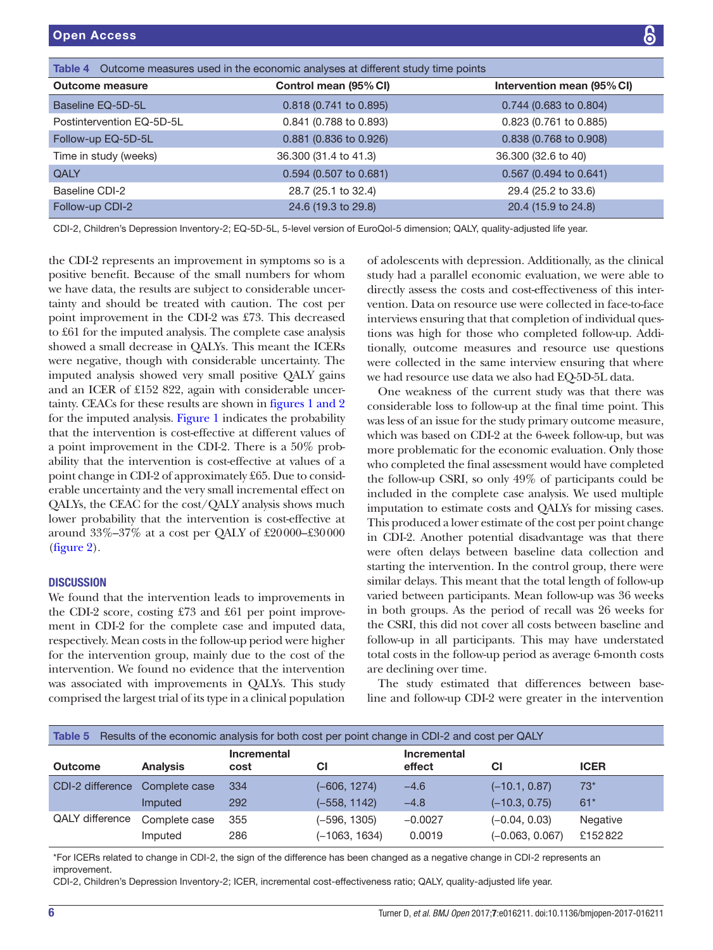<span id="page-5-0"></span>

| <b>Table 4</b> Outcome measures used in the economic analyses at different study time points |                        |                            |  |  |
|----------------------------------------------------------------------------------------------|------------------------|----------------------------|--|--|
| <b>Outcome measure</b>                                                                       | Control mean (95% CI)  | Intervention mean (95% CI) |  |  |
| Baseline EQ-5D-5L                                                                            | 0.818 (0.741 to 0.895) | 0.744 (0.683 to 0.804)     |  |  |
| Postintervention EQ-5D-5L                                                                    | 0.841 (0.788 to 0.893) | 0.823 (0.761 to 0.885)     |  |  |
| Follow-up EQ-5D-5L                                                                           | 0.881 (0.836 to 0.926) | 0.838 (0.768 to 0.908)     |  |  |
| Time in study (weeks)                                                                        | 36.300 (31.4 to 41.3)  | 36.300 (32.6 to 40)        |  |  |
| QALY                                                                                         | 0.594 (0.507 to 0.681) | 0.567 (0.494 to 0.641)     |  |  |
| Baseline CDI-2                                                                               | 28.7 (25.1 to 32.4)    | 29.4 (25.2 to 33.6)        |  |  |
| Follow-up CDI-2                                                                              | 24.6 (19.3 to 29.8)    | 20.4 (15.9 to 24.8)        |  |  |

CDI-2, Children's Depression Inventory-2; EQ-5D-5L, 5-level version of EuroQol-5 dimension; QALY, quality-adjusted life year.

the CDI-2 represents an improvement in symptoms so is a positive benefit. Because of the small numbers for whom we have data, the results are subject to considerable uncertainty and should be treated with caution. The cost per point improvement in the CDI-2 was £73. This decreased to £61 for the imputed analysis. The complete case analysis showed a small decrease in QALYs. This meant the ICERs were negative, though with considerable uncertainty. The imputed analysis showed very small positive QALY gains and an ICER of £152 822, again with considerable uncertainty. CEACs for these results are shown in figures [1 and 2](#page-6-0) for the imputed analysis. [Figure](#page-6-0) 1 indicates the probability that the intervention is cost-effective at different values of a point improvement in the CDI-2. There is a 50% probability that the intervention is cost-effective at values of a point change in CDI-2 of approximately £65. Due to considerable uncertainty and the very small incremental effect on QALYs, the CEAC for the cost/QALY analysis shows much lower probability that the intervention is cost-effective at around 33%–37% at a cost per QALY of £20000–£30000 ([figure](#page-6-1) 2).

#### **DISCUSSION**

We found that the intervention leads to improvements in the CDI-2 score, costing £73 and £61 per point improvement in CDI-2 for the complete case and imputed data, respectively. Mean costs in the follow-up period were higher for the intervention group, mainly due to the cost of the intervention. We found no evidence that the intervention was associated with improvements in QALYs. This study comprised the largest trial of its type in a clinical population

of adolescents with depression. Additionally, as the clinical study had a parallel economic evaluation, we were able to directly assess the costs and cost-effectiveness of this intervention. Data on resource use were collected in face-to-face interviews ensuring that that completion of individual questions was high for those who completed follow-up. Additionally, outcome measures and resource use questions were collected in the same interview ensuring that where we had resource use data we also had EQ-5D-5L data.

One weakness of the current study was that there was considerable loss to follow-up at the final time point. This was less of an issue for the study primary outcome measure, which was based on CDI-2 at the 6-week follow-up, but was more problematic for the economic evaluation. Only those who completed the final assessment would have completed the follow-up CSRI, so only 49% of participants could be included in the complete case analysis. We used multiple imputation to estimate costs and QALYs for missing cases. This produced a lower estimate of the cost per point change in CDI-2. Another potential disadvantage was that there were often delays between baseline data collection and starting the intervention. In the control group, there were similar delays. This meant that the total length of follow-up varied between participants. Mean follow-up was 36 weeks in both groups. As the period of recall was 26 weeks for the CSRI, this did not cover all costs between baseline and follow-up in all participants. This may have understated total costs in the follow-up period as average 6-month costs are declining over time.

The study estimated that differences between baseline and follow-up CDI-2 were greater in the intervention

<span id="page-5-1"></span>

| Results of the economic analysis for both cost per point change in CDI-2 and cost per QALY<br>Table 5 |                 |                     |                 |                       |                   |             |
|-------------------------------------------------------------------------------------------------------|-----------------|---------------------|-----------------|-----------------------|-------------------|-------------|
| <b>Outcome</b>                                                                                        | <b>Analysis</b> | Incremental<br>cost | СI              | Incremental<br>effect | СI                | <b>ICER</b> |
| CDI-2 difference                                                                                      | Complete case   | 334                 | (–606, 1274)    | $-4.6$                | $(-10.1, 0.87)$   | $73*$       |
|                                                                                                       | Imputed         | 292                 | (-558, 1142)    | $-4.8$                | $(-10.3, 0.75)$   | $61*$       |
| QALY difference                                                                                       | Complete case   | 355                 | (–596, 1305)    | $-0.0027$             | $(-0.04, 0.03)$   | Negative    |
|                                                                                                       | Imputed         | 286                 | $(-1063, 1634)$ | 0.0019                | $(-0.063, 0.067)$ | £152822     |

\*For ICERs related to change in CDI-2, the sign of the difference has been changed as a negative change in CDI-2 represents an improvement.

CDI-2, Children's Depression Inventory-2; ICER, incremental cost-effectiveness ratio; QALY, quality-adjusted life year.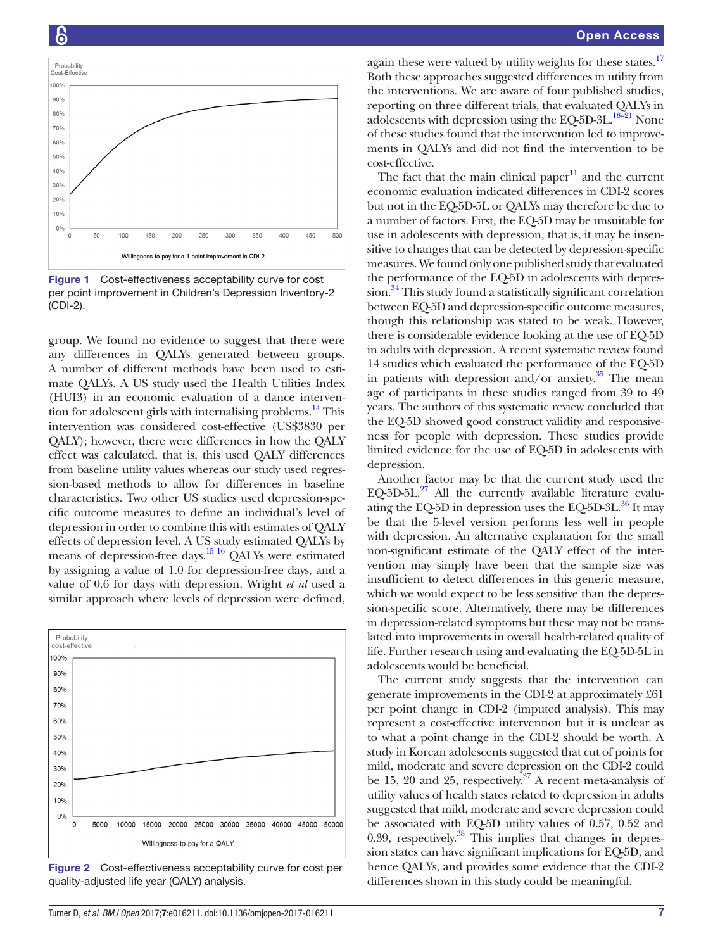

<span id="page-6-0"></span>Figure 1 Cost-effectiveness acceptability curve for cost per point improvement in Children's Depression Inventory-2 (CDI-2).

group. We found no evidence to suggest that there were any differences in QALYs generated between groups. A number of different methods have been used to estimate QALYs. A US study used the Health Utilities Index (HUI3) in an economic evaluation of a dance interven-tion for adolescent girls with internalising problems.<sup>[14](#page-7-9)</sup> This intervention was considered cost-effective (US\$3830 per QALY); however, there were differences in how the QALY effect was calculated, that is, this used QALY differences from baseline utility values whereas our study used regression-based methods to allow for differences in baseline characteristics. Two other US studies used depression-specific outcome measures to define an individual's level of depression in order to combine this with estimates of QALY effects of depression level. A US study estimated QALYs by means of depression-free days[.15 16](#page-7-10) QALYs were estimated by assigning a value of 1.0 for depression-free days, and a value of 0.6 for days with depression. Wright *et al* used a similar approach where levels of depression were defined,



<span id="page-6-1"></span>Figure 2 Cost-effectiveness acceptability curve for cost per quality-adjusted life year (QALY) analysis.

again these were valued by utility weights for these states.<sup>17</sup> Both these approaches suggested differences in utility from the interventions. We are aware of four published studies, reporting on three different trials, that evaluated QALYs in adolescents with depression using the EQ-5D-3L.<sup>18-21</sup> None of these studies found that the intervention led to improvements in QALYs and did not find the intervention to be cost-effective.

The fact that the main clinical paper $11$  and the current economic evaluation indicated differences in CDI-2 scores but not in the EQ-5D-5L or QALYs may therefore be due to a number of factors. First, the EQ-5D may be unsuitable for use in adolescents with depression, that is, it may be insensitive to changes that can be detected by depression-specific measures. We found only one published study that evaluated the performance of the EQ-5D in adolescents with depres-sion.<sup>[34](#page-8-9)</sup> This study found a statistically significant correlation between EQ-5D and depression-specific outcome measures, though this relationship was stated to be weak. However, there is considerable evidence looking at the use of EQ-5D in adults with depression. A recent systematic review found 14 studies which evaluated the performance of the EQ-5D in patients with depression and/or anxiety. $35$  The mean age of participants in these studies ranged from 39 to 49 years. The authors of this systematic review concluded that the EQ-5D showed good construct validity and responsiveness for people with depression. These studies provide limited evidence for the use of EQ-5D in adolescents with depression.

Another factor may be that the current study used the EQ-5D-5L. $^{27}$  All the currently available literature evaluating the EQ-5D in depression uses the EQ-5D-3L. $^{36}$  It may be that the 5-level version performs less well in people with depression. An alternative explanation for the small non-significant estimate of the QALY effect of the intervention may simply have been that the sample size was insufficient to detect differences in this generic measure, which we would expect to be less sensitive than the depression-specific score. Alternatively, there may be differences in depression-related symptoms but these may not be translated into improvements in overall health-related quality of life. Further research using and evaluating the EQ-5D-5L in adolescents would be beneficial.

The current study suggests that the intervention can generate improvements in the CDI-2 at approximately £61 per point change in CDI-2 (imputed analysis). This may represent a cost-effective intervention but it is unclear as to what a point change in the CDI-2 should be worth. A study in Korean adolescents suggested that cut of points for mild, moderate and severe depression on the CDI-2 could be 15, 20 and 25, respectively. $37$  A recent meta-analysis of utility values of health states related to depression in adults suggested that mild, moderate and severe depression could be associated with EQ-5D utility values of 0.57, 0.52 and 0.39, respectively. $38$  This implies that changes in depression states can have significant implications for EQ-5D, and hence QALYs, and provides some evidence that the CDI-2 differences shown in this study could be meaningful.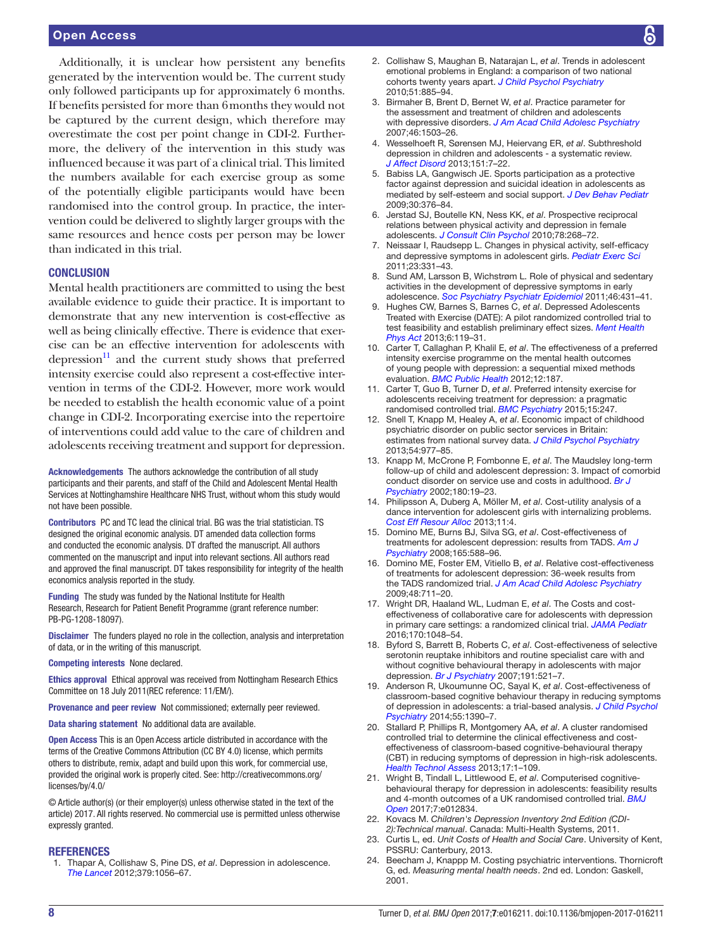# Open Access

Additionally, it is unclear how persistent any benefits generated by the intervention would be. The current study only followed participants up for approximately 6 months. If benefits persisted for more than 6months they would not be captured by the current design, which therefore may overestimate the cost per point change in CDI-2. Furthermore, the delivery of the intervention in this study was influenced because it was part of a clinical trial. This limited the numbers available for each exercise group as some of the potentially eligible participants would have been randomised into the control group. In practice, the intervention could be delivered to slightly larger groups with the same resources and hence costs per person may be lower than indicated in this trial.

#### **CONCLUSION**

Mental health practitioners are committed to using the best available evidence to guide their practice. It is important to demonstrate that any new intervention is cost-effective as well as being clinically effective. There is evidence that exercise can be an effective intervention for adolescents with depression $11$  and the current study shows that preferred intensity exercise could also represent a cost-effective intervention in terms of the CDI-2. However, more work would be needed to establish the health economic value of a point change in CDI-2. Incorporating exercise into the repertoire of interventions could add value to the care of children and adolescents receiving treatment and support for depression.

Acknowledgements The authors acknowledge the contribution of all study participants and their parents, and staff of the Child and Adolescent Mental Health Services at Nottinghamshire Healthcare NHS Trust, without whom this study would not have been possible.

Contributors PC and TC lead the clinical trial. BG was the trial statistician. TS designed the original economic analysis. DT amended data collection forms and conducted the economic analysis. DT drafted the manuscript. All authors commented on the manuscript and input into relevant sections. All authors read and approved the final manuscript. DT takes responsibility for integrity of the health economics analysis reported in the study.

Funding The study was funded by the National Institute for Health Research, Research for Patient Benefit Programme (grant reference number: PB-PG-1208-18097).

Disclaimer The funders played no role in the collection, analysis and interpretation of data, or in the writing of this manuscript.

Competing interests None declared.

Ethics approval Ethical approval was received from Nottingham Research Ethics Committee on 18 July 2011(REC reference: 11/EM/).

Provenance and peer review Not commissioned; externally peer reviewed.

Data sharing statement No additional data are available.

Open Access This is an Open Access article distributed in accordance with the terms of the Creative Commons Attribution (CC BY 4.0) license, which permits others to distribute, remix, adapt and build upon this work, for commercial use, provided the original work is properly cited. See: [http://creativecommons.org/](http://creativecommons.org/licenses/by/4.0/) [licenses/by/4.0/](http://creativecommons.org/licenses/by/4.0/)

© Article author(s) (or their employer(s) unless otherwise stated in the text of the article) 2017. All rights reserved. No commercial use is permitted unless otherwise expressly granted.

#### **REFERENCES**

<span id="page-7-0"></span>1. Thapar A, Collishaw S, Pine DS, *et al*. Depression in adolescence. *[The Lancet](http://dx.doi.org/10.1016/S0140-6736(11)60871-4)* 2012;379:1056–67.

- <span id="page-7-1"></span>2. Collishaw S, Maughan B, Natarajan L, *et al*. Trends in adolescent emotional problems in England: a comparison of two national cohorts twenty years apart. *[J Child Psychol Psychiatry](http://dx.doi.org/10.1111/j.1469-7610.2010.02252.x)* 2010;51:885–94.
- <span id="page-7-2"></span>3. Birmaher B, Brent D, Bernet W, *et al*. Practice parameter for the assessment and treatment of children and adolescents with depressive disorders. *[J Am Acad Child Adolesc Psychiatry](http://dx.doi.org/10.1097/chi.0b013e318145ae1c)* 2007;46:1503–26.
- <span id="page-7-3"></span>4. Wesselhoeft R, Sørensen MJ, Heiervang ER, *et al*. Subthreshold depression in children and adolescents - a systematic review. *[J Affect Disord](http://dx.doi.org/10.1016/j.jad.2013.06.010)* 2013;151:7–22.
- <span id="page-7-4"></span>5. Babiss LA, Gangwisch JE. Sports participation as a protective factor against depression and suicidal ideation in adolescents as mediated by self-esteem and social support. *[J Dev Behav Pediatr](http://dx.doi.org/10.1097/DBP.0b013e3181b33659)* 2009;30:376–84.
- 6. Jerstad SJ, Boutelle KN, Ness KK, *et al*. Prospective reciprocal relations between physical activity and depression in female adolescents. *[J Consult Clin Psychol](http://dx.doi.org/10.1037/a0018793)* 2010;78:268–72.
- 7. Neissaar I, Raudsepp L. Changes in physical activity, self-efficacy and depressive symptoms in adolescent girls. *[Pediatr Exerc Sci](http://dx.doi.org/10.1123/pes.23.3.331)* 2011;23:331–43.
- 8. Sund AM, Larsson B, Wichstrøm L. Role of physical and sedentary activities in the development of depressive symptoms in early adolescence. *[Soc Psychiatry Psychiatr Epidemiol](http://dx.doi.org/10.1007/s00127-010-0208-0)* 2011;46:431–41.
- <span id="page-7-5"></span>9. Hughes CW, Barnes S, Barnes C, *et al*. Depressed Adolescents Treated with Exercise (DATE): A pilot randomized controlled trial to test feasibility and establish preliminary effect sizes. *[Ment Health](http://dx.doi.org/10.1016/j.mhpa.2013.06.006)  [Phys Act](http://dx.doi.org/10.1016/j.mhpa.2013.06.006)* 2013;6:119–31.
- <span id="page-7-6"></span>10. Carter T, Callaghan P, Khalil E, *et al*. The effectiveness of a preferred intensity exercise programme on the mental health outcomes of young people with depression: a sequential mixed methods evaluation. *[BMC Public Health](http://dx.doi.org/10.1186/1471-2458-12-187)* 2012;12:187.
- <span id="page-7-15"></span>11. Carter T, Guo B, Turner D, *et al*. Preferred intensity exercise for adolescents receiving treatment for depression: a pragmatic randomised controlled trial. *[BMC Psychiatry](http://dx.doi.org/10.1186/s12888-015-0638-z)* 2015;15:247.
- <span id="page-7-7"></span>12. Snell T, Knapp M, Healey A, *et al*. Economic impact of childhood psychiatric disorder on public sector services in Britain: estimates from national survey data. *[J Child Psychol Psychiatry](http://dx.doi.org/10.1111/jcpp.12055)* 2013;54:977–85.
- <span id="page-7-8"></span>13. Knapp M, McCrone P, Fombonne E, *et al*. The Maudsley long-term follow-up of child and adolescent depression: 3. Impact of comorbid conduct disorder on service use and costs in adulthood. *[Br J](http://dx.doi.org/10.1192/bjp.180.1.19)  [Psychiatry](http://dx.doi.org/10.1192/bjp.180.1.19)* 2002;180:19–23.
- <span id="page-7-9"></span>14. Philipsson A, Duberg A, Möller M, *et al*. Cost-utility analysis of a dance intervention for adolescent girls with internalizing problems. *[Cost Eff Resour Alloc](http://dx.doi.org/10.1186/1478-7547-11-4)* 2013;11:4.
- <span id="page-7-10"></span>15. Domino ME, Burns BJ, Silva SG, *et al*. Cost-effectiveness of treatments for adolescent depression: results from TADS. *[Am J](http://dx.doi.org/10.1176/appi.ajp.2008.07101610)  [Psychiatry](http://dx.doi.org/10.1176/appi.ajp.2008.07101610)* 2008;165:588–96.
- 16. Domino ME, Foster EM, Vitiello B, *et al*. Relative cost-effectiveness of treatments for adolescent depression: 36-week results from the TADS randomized trial. *[J Am Acad Child Adolesc Psychiatry](http://dx.doi.org/10.1097/CHI.0b013e3181a2b319)* 2009;48:711–20.
- <span id="page-7-11"></span>17. Wright DR, Haaland WL, Ludman E, *et al*. The Costs and costeffectiveness of collaborative care for adolescents with depression in primary care settings: a randomized clinical trial. *[JAMA Pediatr](http://dx.doi.org/10.1001/jamapediatrics.2016.1721)* 2016;170:1048–54.
- <span id="page-7-12"></span>18. Byford S, Barrett B, Roberts C, *et al*. Cost-effectiveness of selective serotonin reuptake inhibitors and routine specialist care with and without cognitive behavioural therapy in adolescents with major depression. *[Br J Psychiatry](http://dx.doi.org/10.1192/bjp.bp.107.038984)* 2007;191:521–7.
- <span id="page-7-13"></span>19. Anderson R, Ukoumunne OC, Sayal K, *et al*. Cost-effectiveness of classroom-based cognitive behaviour therapy in reducing symptoms of depression in adolescents: a trial-based analysis. *[J Child Psychol](http://dx.doi.org/10.1111/jcpp.12248)  [Psychiatry](http://dx.doi.org/10.1111/jcpp.12248)* 2014;55:1390–7.
- 20. Stallard P, Phillips R, Montgomery AA, *et al*. A cluster randomised controlled trial to determine the clinical effectiveness and costeffectiveness of classroom-based cognitive-behavioural therapy (CBT) in reducing symptoms of depression in high-risk adolescents. *[Health Technol Assess](http://dx.doi.org/10.3310/hta17470)* 2013;17:1–109.
- <span id="page-7-14"></span>21. Wright B, Tindall L, Littlewood E, *et al*. Computerised cognitivebehavioural therapy for depression in adolescents: feasibility results and 4-month outcomes of a UK randomised controlled trial. *[BMJ](http://dx.doi.org/10.1136/bmjopen-2016-012834)  [Open](http://dx.doi.org/10.1136/bmjopen-2016-012834)* 2017;7:e012834.
- <span id="page-7-16"></span>22. Kovacs M. *Children's Depression Inventory 2nd Edition (CDI-2):Technical manual*. Canada: Multi-Health Systems, 2011.
- <span id="page-7-17"></span>23. Curtis L, ed. *Unit Costs of Health and Social Care*. University of Kent, PSSRU: Canterbury, 2013.
- <span id="page-7-18"></span>24. Beecham J, Knappp M. Costing psychiatric interventions. Thornicroft G, ed. *Measuring mental health needs*. 2nd ed. London: Gaskell, 2001.